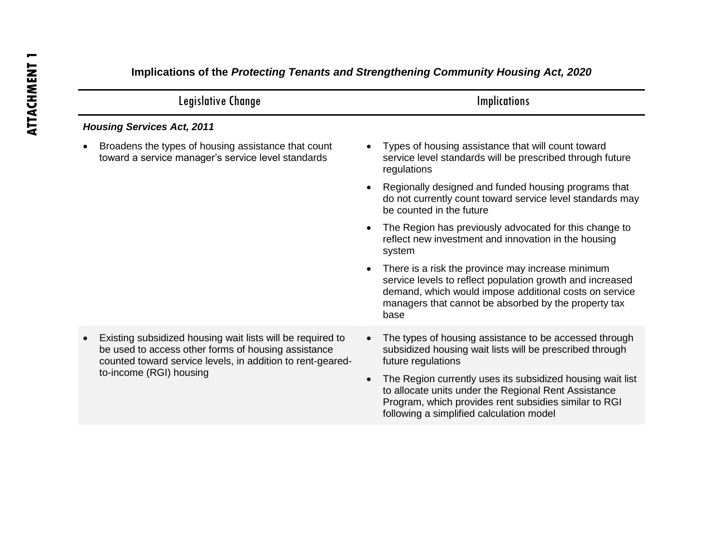| Legislative Change                                                                                                                                                                                         | <b>Implications</b>                                                                                                                                                                                                                                                                                                                                                              |
|------------------------------------------------------------------------------------------------------------------------------------------------------------------------------------------------------------|----------------------------------------------------------------------------------------------------------------------------------------------------------------------------------------------------------------------------------------------------------------------------------------------------------------------------------------------------------------------------------|
| <b>Housing Services Act, 2011</b>                                                                                                                                                                          |                                                                                                                                                                                                                                                                                                                                                                                  |
| Broadens the types of housing assistance that count<br>toward a service manager's service level standards                                                                                                  | Types of housing assistance that will count toward<br>$\bullet$<br>service level standards will be prescribed through future<br>regulations                                                                                                                                                                                                                                      |
|                                                                                                                                                                                                            | Regionally designed and funded housing programs that<br>$\bullet$<br>do not currently count toward service level standards may<br>be counted in the future                                                                                                                                                                                                                       |
|                                                                                                                                                                                                            | The Region has previously advocated for this change to<br>$\bullet$<br>reflect new investment and innovation in the housing<br>system                                                                                                                                                                                                                                            |
|                                                                                                                                                                                                            | There is a risk the province may increase minimum<br>$\bullet$<br>service levels to reflect population growth and increased<br>demand, which would impose additional costs on service<br>managers that cannot be absorbed by the property tax<br>base                                                                                                                            |
| Existing subsidized housing wait lists will be required to<br>be used to access other forms of housing assistance<br>counted toward service levels, in addition to rent-geared-<br>to-income (RGI) housing | The types of housing assistance to be accessed through<br>subsidized housing wait lists will be prescribed through<br>future regulations<br>The Region currently uses its subsidized housing wait list<br>$\bullet$<br>to allocate units under the Regional Rent Assistance<br>Program, which provides rent subsidies similar to RGI<br>following a simplified calculation model |

## **Implications of the** *Protecting Tenants and Strengthening Community Housing Act, 2020*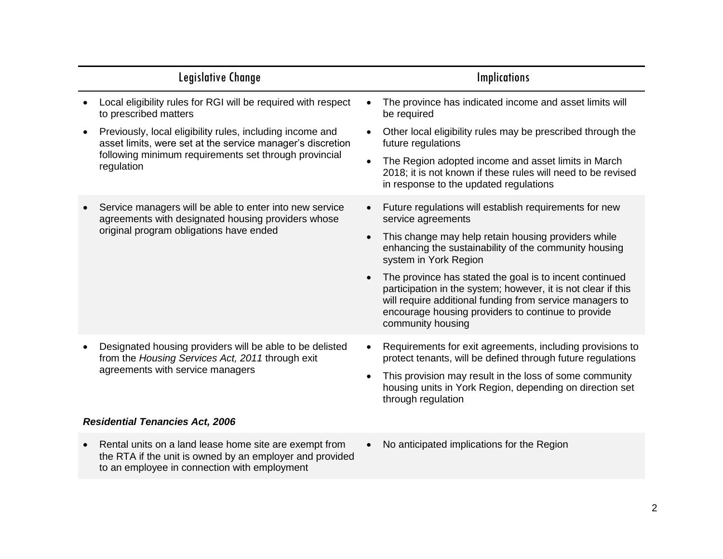|  | Legislative Change                                                                                                                                                                             |                        | <b>Implications</b>                                                                                                                                                                                                                                                   |
|--|------------------------------------------------------------------------------------------------------------------------------------------------------------------------------------------------|------------------------|-----------------------------------------------------------------------------------------------------------------------------------------------------------------------------------------------------------------------------------------------------------------------|
|  | Local eligibility rules for RGI will be required with respect<br>to prescribed matters                                                                                                         |                        | The province has indicated income and asset limits will<br>be required                                                                                                                                                                                                |
|  | Previously, local eligibility rules, including income and<br>asset limits, were set at the service manager's discretion<br>following minimum requirements set through provincial<br>regulation |                        | Other local eligibility rules may be prescribed through the<br>future regulations                                                                                                                                                                                     |
|  |                                                                                                                                                                                                | $\bullet$              | The Region adopted income and asset limits in March<br>2018; it is not known if these rules will need to be revised<br>in response to the updated regulations                                                                                                         |
|  | Service managers will be able to enter into new service<br>agreements with designated housing providers whose<br>original program obligations have ended                                       |                        | Future regulations will establish requirements for new<br>service agreements                                                                                                                                                                                          |
|  |                                                                                                                                                                                                | $\bullet$              | This change may help retain housing providers while<br>enhancing the sustainability of the community housing<br>system in York Region                                                                                                                                 |
|  |                                                                                                                                                                                                |                        | The province has stated the goal is to incent continued<br>participation in the system; however, it is not clear if this<br>will require additional funding from service managers to<br>encourage housing providers to continue to provide<br>community housing       |
|  | Designated housing providers will be able to be delisted<br>from the Housing Services Act, 2011 through exit<br>agreements with service managers                                               | $\bullet$<br>$\bullet$ | Requirements for exit agreements, including provisions to<br>protect tenants, will be defined through future regulations<br>This provision may result in the loss of some community<br>housing units in York Region, depending on direction set<br>through regulation |
|  | <b>Residential Tenancies Act, 2006</b>                                                                                                                                                         |                        |                                                                                                                                                                                                                                                                       |
|  | Rental units on a land lease home site are exempt from                                                                                                                                         |                        | No anticipated implications for the Region                                                                                                                                                                                                                            |

• Rental units on a land lease home site are exempt from the RTA if the unit is owned by an employer and provided

to an employee in connection with employment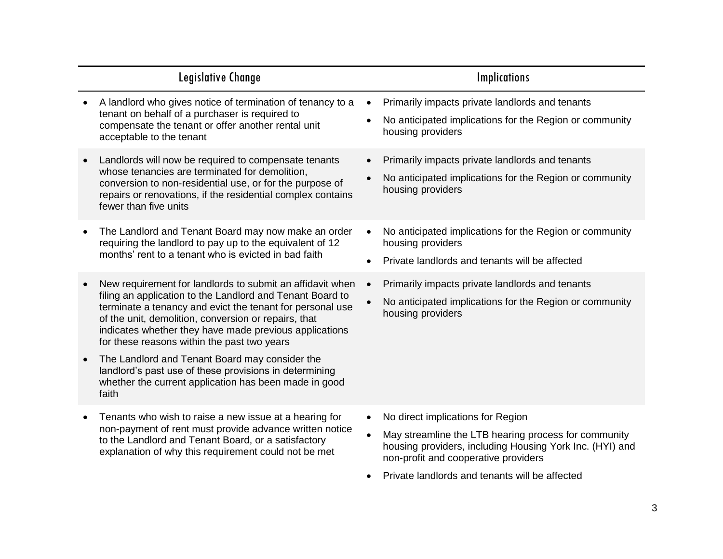|           | Legislative Change                                                                                                                                                                                                                                                                                                                                   |           | <b>Implications</b>                                                                                                                                                                                                                             |
|-----------|------------------------------------------------------------------------------------------------------------------------------------------------------------------------------------------------------------------------------------------------------------------------------------------------------------------------------------------------------|-----------|-------------------------------------------------------------------------------------------------------------------------------------------------------------------------------------------------------------------------------------------------|
|           | A landlord who gives notice of termination of tenancy to a<br>tenant on behalf of a purchaser is required to<br>compensate the tenant or offer another rental unit<br>acceptable to the tenant                                                                                                                                                       |           | Primarily impacts private landlords and tenants<br>No anticipated implications for the Region or community<br>housing providers                                                                                                                 |
|           | Landlords will now be required to compensate tenants<br>whose tenancies are terminated for demolition,<br>conversion to non-residential use, or for the purpose of<br>repairs or renovations, if the residential complex contains<br>fewer than five units                                                                                           |           | Primarily impacts private landlords and tenants<br>No anticipated implications for the Region or community<br>housing providers                                                                                                                 |
|           | The Landlord and Tenant Board may now make an order<br>requiring the landlord to pay up to the equivalent of 12<br>months' rent to a tenant who is evicted in bad faith                                                                                                                                                                              | $\bullet$ | No anticipated implications for the Region or community<br>housing providers<br>Private landlords and tenants will be affected                                                                                                                  |
|           | New requirement for landlords to submit an affidavit when<br>filing an application to the Landlord and Tenant Board to<br>terminate a tenancy and evict the tenant for personal use<br>of the unit, demolition, conversion or repairs, that<br>indicates whether they have made previous applications<br>for these reasons within the past two years |           | Primarily impacts private landlords and tenants<br>No anticipated implications for the Region or community<br>housing providers                                                                                                                 |
| $\bullet$ | The Landlord and Tenant Board may consider the<br>landlord's past use of these provisions in determining<br>whether the current application has been made in good<br>faith                                                                                                                                                                           |           |                                                                                                                                                                                                                                                 |
| $\bullet$ | Tenants who wish to raise a new issue at a hearing for<br>non-payment of rent must provide advance written notice<br>to the Landlord and Tenant Board, or a satisfactory<br>explanation of why this requirement could not be met                                                                                                                     | $\bullet$ | No direct implications for Region<br>May streamline the LTB hearing process for community<br>housing providers, including Housing York Inc. (HYI) and<br>non-profit and cooperative providers<br>Private landlords and tenants will be affected |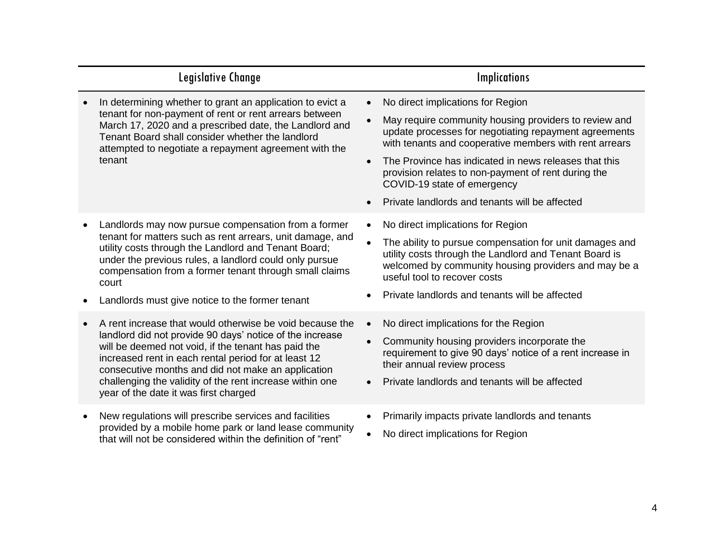| Legislative Change                                                                                                                                                                                                                                                                                                                                                                             | <b>Implications</b>                                                                                                                                                                                                                                                                                                                                                                                            |  |
|------------------------------------------------------------------------------------------------------------------------------------------------------------------------------------------------------------------------------------------------------------------------------------------------------------------------------------------------------------------------------------------------|----------------------------------------------------------------------------------------------------------------------------------------------------------------------------------------------------------------------------------------------------------------------------------------------------------------------------------------------------------------------------------------------------------------|--|
| In determining whether to grant an application to evict a<br>tenant for non-payment of rent or rent arrears between<br>March 17, 2020 and a prescribed date, the Landlord and<br>Tenant Board shall consider whether the landlord<br>attempted to negotiate a repayment agreement with the<br>tenant                                                                                           | No direct implications for Region<br>May require community housing providers to review and<br>update processes for negotiating repayment agreements<br>with tenants and cooperative members with rent arrears<br>The Province has indicated in news releases that this<br>provision relates to non-payment of rent during the<br>COVID-19 state of emergency<br>Private landlords and tenants will be affected |  |
| Landlords may now pursue compensation from a former<br>tenant for matters such as rent arrears, unit damage, and<br>utility costs through the Landlord and Tenant Board;<br>under the previous rules, a landlord could only pursue<br>compensation from a former tenant through small claims<br>court<br>Landlords must give notice to the former tenant                                       | No direct implications for Region<br>The ability to pursue compensation for unit damages and<br>utility costs through the Landlord and Tenant Board is<br>welcomed by community housing providers and may be a<br>useful tool to recover costs<br>Private landlords and tenants will be affected                                                                                                               |  |
| A rent increase that would otherwise be void because the<br>landlord did not provide 90 days' notice of the increase<br>will be deemed not void, if the tenant has paid the<br>increased rent in each rental period for at least 12<br>consecutive months and did not make an application<br>challenging the validity of the rent increase within one<br>year of the date it was first charged | No direct implications for the Region<br>Community housing providers incorporate the<br>requirement to give 90 days' notice of a rent increase in<br>their annual review process<br>Private landlords and tenants will be affected                                                                                                                                                                             |  |
| New regulations will prescribe services and facilities<br>provided by a mobile home park or land lease community<br>that will not be considered within the definition of "rent"                                                                                                                                                                                                                | Primarily impacts private landlords and tenants<br>No direct implications for Region                                                                                                                                                                                                                                                                                                                           |  |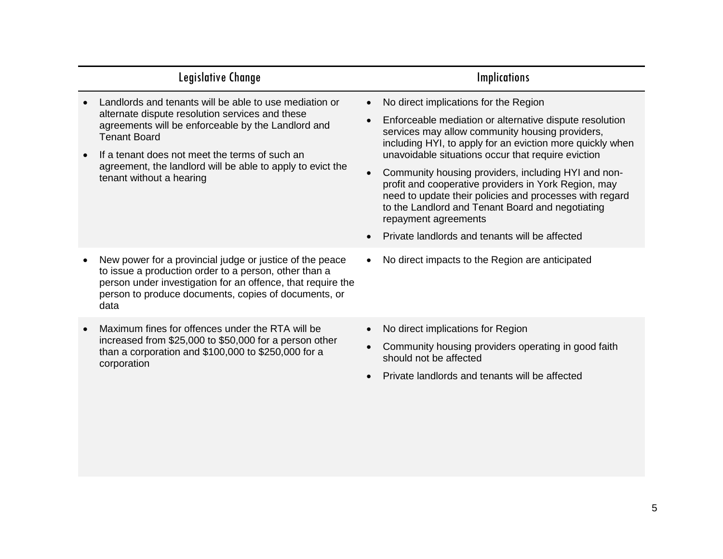|  | Legislative Change                                                                                                                                                                                                                                                                                                                 |                                     | <b>Implications</b>                                                                                                                                                                                                                                                                                                                                                                                                                                                                                                          |
|--|------------------------------------------------------------------------------------------------------------------------------------------------------------------------------------------------------------------------------------------------------------------------------------------------------------------------------------|-------------------------------------|------------------------------------------------------------------------------------------------------------------------------------------------------------------------------------------------------------------------------------------------------------------------------------------------------------------------------------------------------------------------------------------------------------------------------------------------------------------------------------------------------------------------------|
|  | Landlords and tenants will be able to use mediation or<br>alternate dispute resolution services and these<br>agreements will be enforceable by the Landlord and<br><b>Tenant Board</b><br>If a tenant does not meet the terms of such an<br>agreement, the landlord will be able to apply to evict the<br>tenant without a hearing | $\bullet$<br>$\bullet$<br>$\bullet$ | No direct implications for the Region<br>Enforceable mediation or alternative dispute resolution<br>services may allow community housing providers,<br>including HYI, to apply for an eviction more quickly when<br>unavoidable situations occur that require eviction<br>Community housing providers, including HYI and non-<br>profit and cooperative providers in York Region, may<br>need to update their policies and processes with regard<br>to the Landlord and Tenant Board and negotiating<br>repayment agreements |
|  |                                                                                                                                                                                                                                                                                                                                    |                                     | Private landlords and tenants will be affected                                                                                                                                                                                                                                                                                                                                                                                                                                                                               |
|  | New power for a provincial judge or justice of the peace<br>to issue a production order to a person, other than a<br>person under investigation for an offence, that require the<br>person to produce documents, copies of documents, or<br>data                                                                                   |                                     | No direct impacts to the Region are anticipated                                                                                                                                                                                                                                                                                                                                                                                                                                                                              |
|  | Maximum fines for offences under the RTA will be<br>increased from \$25,000 to \$50,000 for a person other<br>than a corporation and \$100,000 to \$250,000 for a<br>corporation                                                                                                                                                   |                                     | No direct implications for Region<br>Community housing providers operating in good faith<br>should not be affected<br>Private landlords and tenants will be affected                                                                                                                                                                                                                                                                                                                                                         |